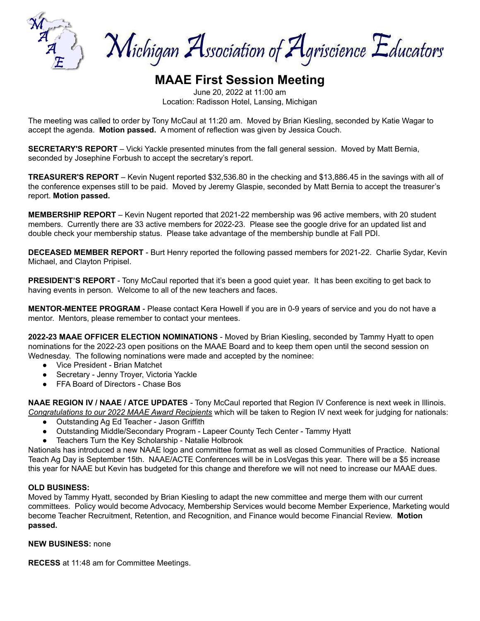

Michigan Association of Agriscience Educators

# **MAAE First Session Meeting**

June 20, 2022 at 11:00 am Location: Radisson Hotel, Lansing, Michigan

The meeting was called to order by Tony McCaul at 11:20 am. Moved by Brian Kiesling, seconded by Katie Wagar to accept the agenda. **Motion passed.** A moment of reflection was given by Jessica Couch.

**SECRETARY'S REPORT** – Vicki Yackle presented minutes from the fall general session. Moved by Matt Bernia, seconded by Josephine Forbush to accept the secretary's report.

**TREASURER'S REPORT** – Kevin Nugent reported \$32,536.80 in the checking and \$13,886.45 in the savings with all of the conference expenses still to be paid. Moved by Jeremy Glaspie, seconded by Matt Bernia to accept the treasurer's report. **Motion passed.**

**MEMBERSHIP REPORT** – Kevin Nugent reported that 2021-22 membership was 96 active members, with 20 student members. Currently there are 33 active members for 2022-23. Please see the google drive for an updated list and double check your membership status. Please take advantage of the membership bundle at Fall PDI.

**DECEASED MEMBER REPORT** - Burt Henry reported the following passed members for 2021-22. Charlie Sydar, Kevin Michael, and Clayton Pripisel.

**PRESIDENT'S REPORT** - Tony McCaul reported that it's been a good quiet year. It has been exciting to get back to having events in person. Welcome to all of the new teachers and faces.

**MENTOR-MENTEE PROGRAM** - Please contact Kera Howell if you are in 0-9 years of service and you do not have a mentor. Mentors, please remember to contact your mentees.

**2022-23 MAAE OFFICER ELECTION NOMINATIONS** - Moved by Brian Kiesling, seconded by Tammy Hyatt to open nominations for the 2022-23 open positions on the MAAE Board and to keep them open until the second session on Wednesday. The following nominations were made and accepted by the nominee:

- Vice President Brian Matchet
- Secretary Jenny Troyer, Victoria Yackle
- FFA Board of Directors Chase Bos

**NAAE REGION IV / NAAE / ATCE UPDATES** - Tony McCaul reported that Region IV Conference is next week in Illinois. *Congratulations to our 2022 MAAE Award Recipients* which will be taken to Region IV next week for judging for nationals:

- Outstanding Ag Ed Teacher Jason Griffith
- Outstanding Middle/Secondary Program Lapeer County Tech Center Tammy Hyatt
- Teachers Turn the Key Scholarship Natalie Holbrook

Nationals has introduced a new NAAE logo and committee format as well as closed Communities of Practice. National Teach Ag Day is September 15th. NAAE/ACTE Conferences will be in LosVegas this year. There will be a \$5 increase this year for NAAE but Kevin has budgeted for this change and therefore we will not need to increase our MAAE dues.

### **OLD BUSINESS:**

Moved by Tammy Hyatt, seconded by Brian Kiesling to adapt the new committee and merge them with our current committees. Policy would become Advocacy, Membership Services would become Member Experience, Marketing would become Teacher Recruitment, Retention, and Recognition, and Finance would become Financial Review. **Motion passed.**

#### **NEW BUSINESS:** none

**RECESS** at 11:48 am for Committee Meetings.